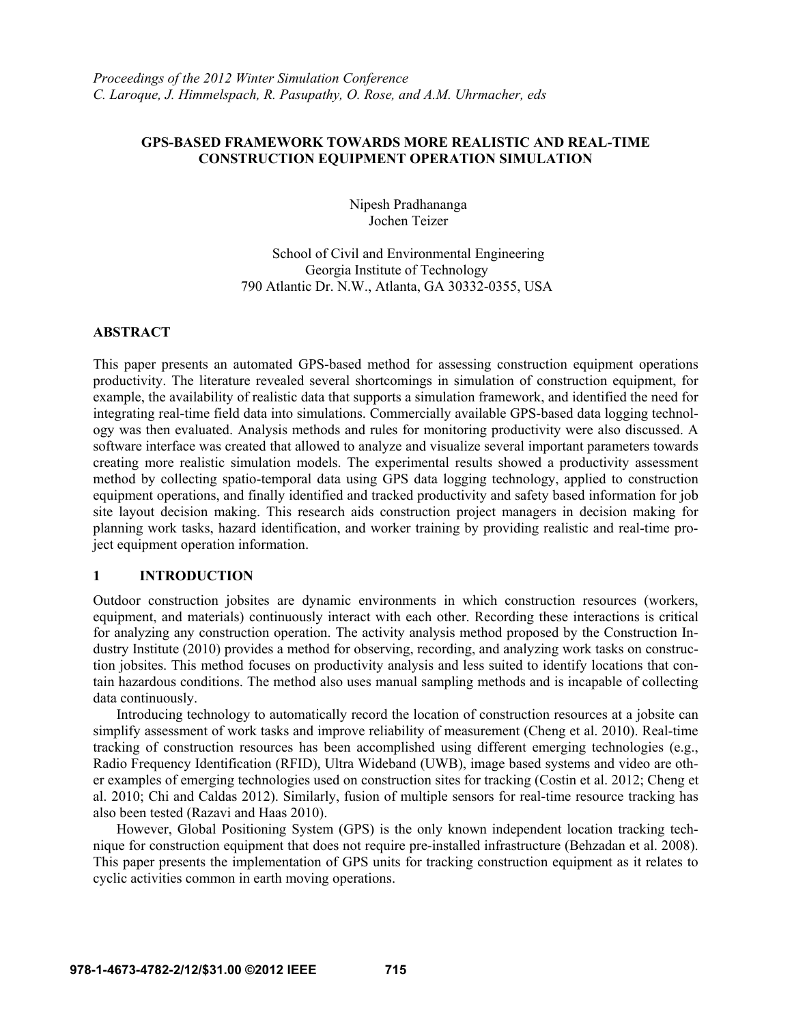## **GPS-BASED FRAMEWORK TOWARDS MORE REALISTIC AND REAL-TIME CONSTRUCTION EQUIPMENT OPERATION SIMULATION**

Nipesh Pradhananga Jochen Teizer

School of Civil and Environmental Engineering Georgia Institute of Technology 790 Atlantic Dr. N.W., Atlanta, GA 30332-0355, USA

#### **ABSTRACT**

This paper presents an automated GPS-based method for assessing construction equipment operations productivity. The literature revealed several shortcomings in simulation of construction equipment, for example, the availability of realistic data that supports a simulation framework, and identified the need for integrating real-time field data into simulations. Commercially available GPS-based data logging technology was then evaluated. Analysis methods and rules for monitoring productivity were also discussed. A software interface was created that allowed to analyze and visualize several important parameters towards creating more realistic simulation models. The experimental results showed a productivity assessment method by collecting spatio-temporal data using GPS data logging technology, applied to construction equipment operations, and finally identified and tracked productivity and safety based information for job site layout decision making. This research aids construction project managers in decision making for planning work tasks, hazard identification, and worker training by providing realistic and real-time project equipment operation information.

## **1 INTRODUCTION**

Outdoor construction jobsites are dynamic environments in which construction resources (workers, equipment, and materials) continuously interact with each other. Recording these interactions is critical for analyzing any construction operation. The activity analysis method proposed by the Construction Industry Institute (2010) provides a method for observing, recording, and analyzing work tasks on construction jobsites. This method focuses on productivity analysis and less suited to identify locations that contain hazardous conditions. The method also uses manual sampling methods and is incapable of collecting data continuously.

Introducing technology to automatically record the location of construction resources at a jobsite can simplify assessment of work tasks and improve reliability of measurement (Cheng et al. 2010). Real-time tracking of construction resources has been accomplished using different emerging technologies (e.g., Radio Frequency Identification (RFID), Ultra Wideband (UWB), image based systems and video are other examples of emerging technologies used on construction sites for tracking (Costin et al. 2012; Cheng et al. 2010; Chi and Caldas 2012). Similarly, fusion of multiple sensors for real-time resource tracking has also been tested (Razavi and Haas 2010).

However, Global Positioning System (GPS) is the only known independent location tracking technique for construction equipment that does not require pre-installed infrastructure (Behzadan et al. 2008). This paper presents the implementation of GPS units for tracking construction equipment as it relates to cyclic activities common in earth moving operations.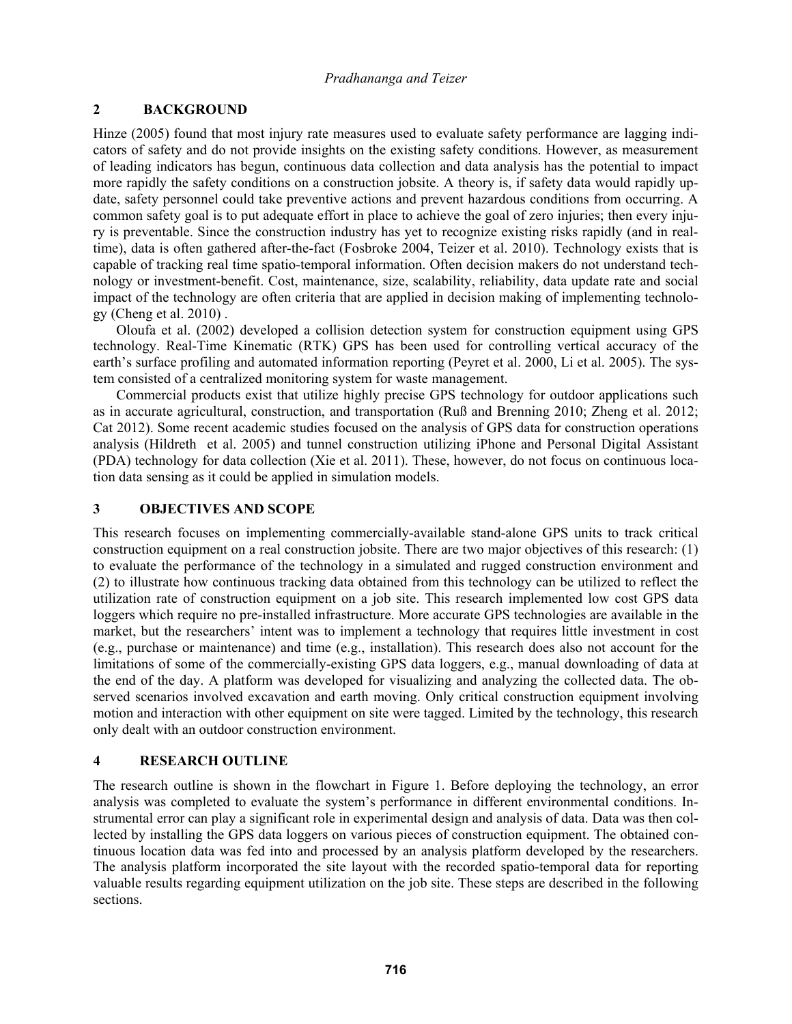## **2 BACKGROUND**

Hinze (2005) found that most injury rate measures used to evaluate safety performance are lagging indicators of safety and do not provide insights on the existing safety conditions. However, as measurement of leading indicators has begun, continuous data collection and data analysis has the potential to impact more rapidly the safety conditions on a construction jobsite. A theory is, if safety data would rapidly update, safety personnel could take preventive actions and prevent hazardous conditions from occurring. A common safety goal is to put adequate effort in place to achieve the goal of zero injuries; then every injury is preventable. Since the construction industry has yet to recognize existing risks rapidly (and in realtime), data is often gathered after-the-fact (Fosbroke 2004, Teizer et al. 2010). Technology exists that is capable of tracking real time spatio-temporal information. Often decision makers do not understand technology or investment-benefit. Cost, maintenance, size, scalability, reliability, data update rate and social impact of the technology are often criteria that are applied in decision making of implementing technology (Cheng et al. 2010) .

Oloufa et al. (2002) developed a collision detection system for construction equipment using GPS technology. Real-Time Kinematic (RTK) GPS has been used for controlling vertical accuracy of the earth's surface profiling and automated information reporting (Peyret et al. 2000, Li et al. 2005). The system consisted of a centralized monitoring system for waste management.

Commercial products exist that utilize highly precise GPS technology for outdoor applications such as in accurate agricultural, construction, and transportation (Ruß and Brenning 2010; Zheng et al. 2012; Cat 2012). Some recent academic studies focused on the analysis of GPS data for construction operations analysis (Hildreth et al. 2005) and tunnel construction utilizing iPhone and Personal Digital Assistant (PDA) technology for data collection (Xie et al. 2011). These, however, do not focus on continuous location data sensing as it could be applied in simulation models.

## **3 OBJECTIVES AND SCOPE**

This research focuses on implementing commercially-available stand-alone GPS units to track critical construction equipment on a real construction jobsite. There are two major objectives of this research: (1) to evaluate the performance of the technology in a simulated and rugged construction environment and (2) to illustrate how continuous tracking data obtained from this technology can be utilized to reflect the utilization rate of construction equipment on a job site. This research implemented low cost GPS data loggers which require no pre-installed infrastructure. More accurate GPS technologies are available in the market, but the researchers' intent was to implement a technology that requires little investment in cost (e.g., purchase or maintenance) and time (e.g., installation). This research does also not account for the limitations of some of the commercially-existing GPS data loggers, e.g., manual downloading of data at the end of the day. A platform was developed for visualizing and analyzing the collected data. The observed scenarios involved excavation and earth moving. Only critical construction equipment involving motion and interaction with other equipment on site were tagged. Limited by the technology, this research only dealt with an outdoor construction environment.

# **4 RESEARCH OUTLINE**

The research outline is shown in the flowchart in Figure 1. Before deploying the technology, an error analysis was completed to evaluate the system's performance in different environmental conditions. Instrumental error can play a significant role in experimental design and analysis of data. Data was then collected by installing the GPS data loggers on various pieces of construction equipment. The obtained continuous location data was fed into and processed by an analysis platform developed by the researchers. The analysis platform incorporated the site layout with the recorded spatio-temporal data for reporting valuable results regarding equipment utilization on the job site. These steps are described in the following sections.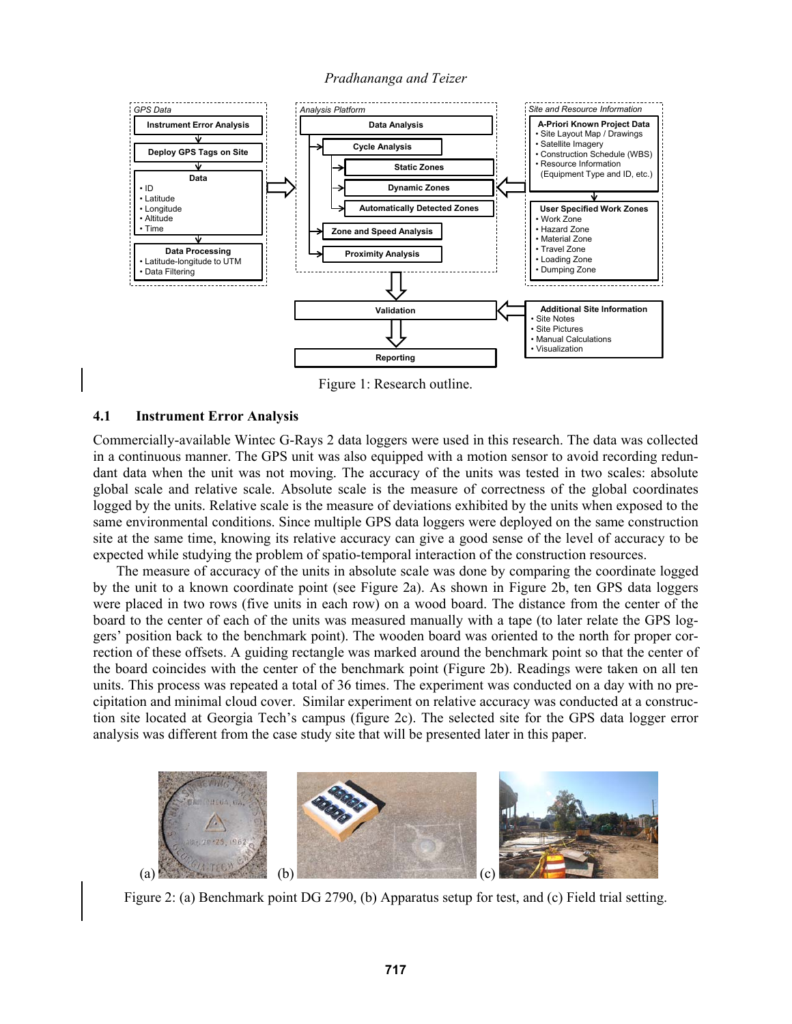

Figure 1: Research outline.

### **4.1 Instrument Error Analysis**

Commercially-available Wintec G-Rays 2 data loggers were used in this research. The data was collected in a continuous manner. The GPS unit was also equipped with a motion sensor to avoid recording redundant data when the unit was not moving. The accuracy of the units was tested in two scales: absolute global scale and relative scale. Absolute scale is the measure of correctness of the global coordinates logged by the units. Relative scale is the measure of deviations exhibited by the units when exposed to the same environmental conditions. Since multiple GPS data loggers were deployed on the same construction site at the same time, knowing its relative accuracy can give a good sense of the level of accuracy to be expected while studying the problem of spatio-temporal interaction of the construction resources.

The measure of accuracy of the units in absolute scale was done by comparing the coordinate logged by the unit to a known coordinate point (see Figure 2a). As shown in Figure 2b, ten GPS data loggers were placed in two rows (five units in each row) on a wood board. The distance from the center of the board to the center of each of the units was measured manually with a tape (to later relate the GPS loggers' position back to the benchmark point). The wooden board was oriented to the north for proper correction of these offsets. A guiding rectangle was marked around the benchmark point so that the center of the board coincides with the center of the benchmark point (Figure 2b). Readings were taken on all ten units. This process was repeated a total of 36 times. The experiment was conducted on a day with no precipitation and minimal cloud cover. Similar experiment on relative accuracy was conducted at a construction site located at Georgia Tech's campus (figure 2c). The selected site for the GPS data logger error analysis was different from the case study site that will be presented later in this paper.



Figure 2: (a) Benchmark point DG 2790, (b) Apparatus setup for test, and (c) Field trial setting.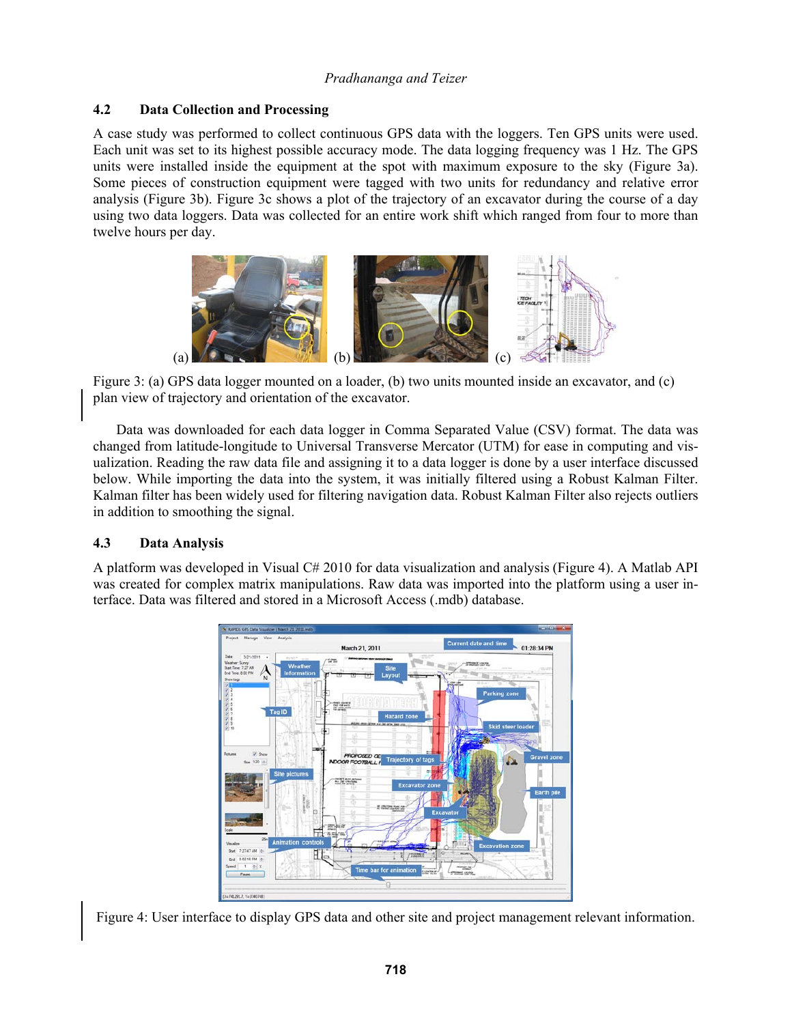## **4.2 Data Collection and Processing**

A case study was performed to collect continuous GPS data with the loggers. Ten GPS units were used. Each unit was set to its highest possible accuracy mode. The data logging frequency was 1 Hz. The GPS units were installed inside the equipment at the spot with maximum exposure to the sky (Figure 3a). Some pieces of construction equipment were tagged with two units for redundancy and relative error analysis (Figure 3b). Figure 3c shows a plot of the trajectory of an excavator during the course of a day using two data loggers. Data was collected for an entire work shift which ranged from four to more than twelve hours per day.



Figure 3: (a) GPS data logger mounted on a loader, (b) two units mounted inside an excavator, and (c) plan view of trajectory and orientation of the excavator.

Data was downloaded for each data logger in Comma Separated Value (CSV) format. The data was changed from latitude-longitude to Universal Transverse Mercator (UTM) for ease in computing and visualization. Reading the raw data file and assigning it to a data logger is done by a user interface discussed below. While importing the data into the system, it was initially filtered using a Robust Kalman Filter. Kalman filter has been widely used for filtering navigation data. Robust Kalman Filter also rejects outliers in addition to smoothing the signal.

# **4.3 Data Analysis**

A platform was developed in Visual C# 2010 for data visualization and analysis (Figure 4). A Matlab API was created for complex matrix manipulations. Raw data was imported into the platform using a user interface. Data was filtered and stored in a Microsoft Access (.mdb) database.



Figure 4: User interface to display GPS data and other site and project management relevant information.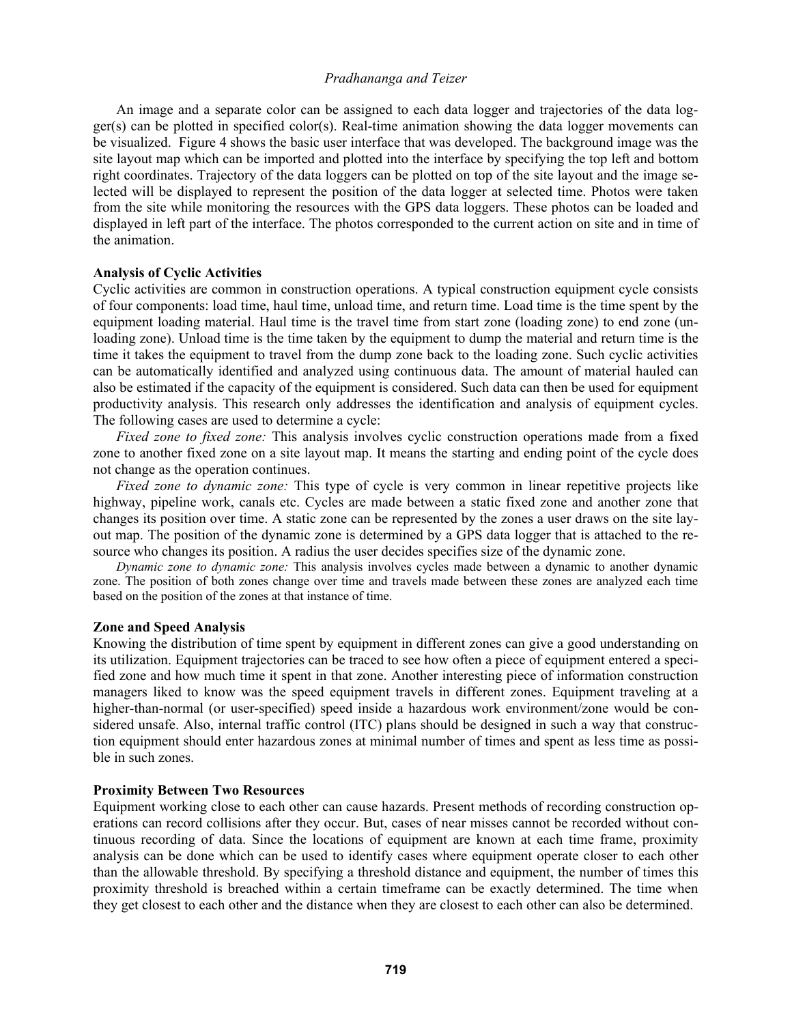An image and a separate color can be assigned to each data logger and trajectories of the data logger(s) can be plotted in specified color(s). Real-time animation showing the data logger movements can be visualized. Figure 4 shows the basic user interface that was developed. The background image was the site layout map which can be imported and plotted into the interface by specifying the top left and bottom right coordinates. Trajectory of the data loggers can be plotted on top of the site layout and the image selected will be displayed to represent the position of the data logger at selected time. Photos were taken from the site while monitoring the resources with the GPS data loggers. These photos can be loaded and displayed in left part of the interface. The photos corresponded to the current action on site and in time of the animation.

#### **Analysis of Cyclic Activities**

Cyclic activities are common in construction operations. A typical construction equipment cycle consists of four components: load time, haul time, unload time, and return time. Load time is the time spent by the equipment loading material. Haul time is the travel time from start zone (loading zone) to end zone (unloading zone). Unload time is the time taken by the equipment to dump the material and return time is the time it takes the equipment to travel from the dump zone back to the loading zone. Such cyclic activities can be automatically identified and analyzed using continuous data. The amount of material hauled can also be estimated if the capacity of the equipment is considered. Such data can then be used for equipment productivity analysis. This research only addresses the identification and analysis of equipment cycles. The following cases are used to determine a cycle:

*Fixed zone to fixed zone:* This analysis involves cyclic construction operations made from a fixed zone to another fixed zone on a site layout map. It means the starting and ending point of the cycle does not change as the operation continues.

*Fixed zone to dynamic zone:* This type of cycle is very common in linear repetitive projects like highway, pipeline work, canals etc. Cycles are made between a static fixed zone and another zone that changes its position over time. A static zone can be represented by the zones a user draws on the site layout map. The position of the dynamic zone is determined by a GPS data logger that is attached to the resource who changes its position. A radius the user decides specifies size of the dynamic zone.

*Dynamic zone to dynamic zone:* This analysis involves cycles made between a dynamic to another dynamic zone. The position of both zones change over time and travels made between these zones are analyzed each time based on the position of the zones at that instance of time.

#### **Zone and Speed Analysis**

Knowing the distribution of time spent by equipment in different zones can give a good understanding on its utilization. Equipment trajectories can be traced to see how often a piece of equipment entered a specified zone and how much time it spent in that zone. Another interesting piece of information construction managers liked to know was the speed equipment travels in different zones. Equipment traveling at a higher-than-normal (or user-specified) speed inside a hazardous work environment/zone would be considered unsafe. Also, internal traffic control (ITC) plans should be designed in such a way that construction equipment should enter hazardous zones at minimal number of times and spent as less time as possible in such zones.

#### **Proximity Between Two Resources**

Equipment working close to each other can cause hazards. Present methods of recording construction operations can record collisions after they occur. But, cases of near misses cannot be recorded without continuous recording of data. Since the locations of equipment are known at each time frame, proximity analysis can be done which can be used to identify cases where equipment operate closer to each other than the allowable threshold. By specifying a threshold distance and equipment, the number of times this proximity threshold is breached within a certain timeframe can be exactly determined. The time when they get closest to each other and the distance when they are closest to each other can also be determined.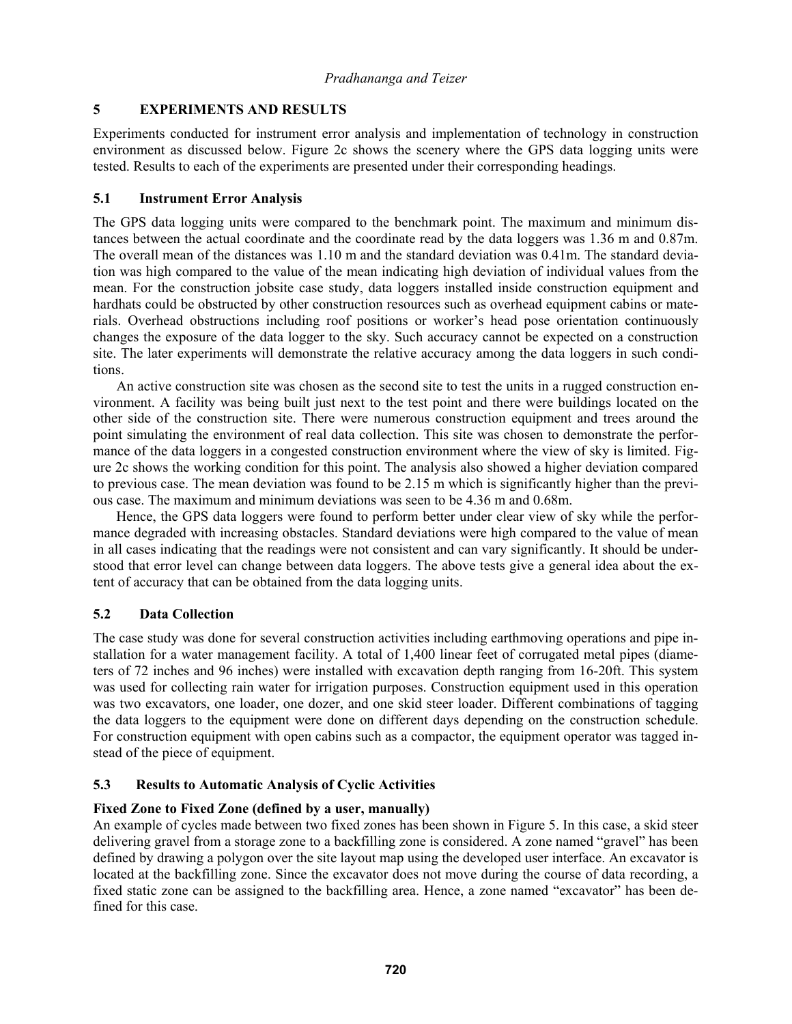# **5 EXPERIMENTS AND RESULTS**

Experiments conducted for instrument error analysis and implementation of technology in construction environment as discussed below. Figure 2c shows the scenery where the GPS data logging units were tested. Results to each of the experiments are presented under their corresponding headings.

## **5.1 Instrument Error Analysis**

The GPS data logging units were compared to the benchmark point. The maximum and minimum distances between the actual coordinate and the coordinate read by the data loggers was 1.36 m and 0.87m. The overall mean of the distances was 1.10 m and the standard deviation was 0.41m. The standard deviation was high compared to the value of the mean indicating high deviation of individual values from the mean. For the construction jobsite case study, data loggers installed inside construction equipment and hardhats could be obstructed by other construction resources such as overhead equipment cabins or materials. Overhead obstructions including roof positions or worker's head pose orientation continuously changes the exposure of the data logger to the sky. Such accuracy cannot be expected on a construction site. The later experiments will demonstrate the relative accuracy among the data loggers in such conditions.

An active construction site was chosen as the second site to test the units in a rugged construction environment. A facility was being built just next to the test point and there were buildings located on the other side of the construction site. There were numerous construction equipment and trees around the point simulating the environment of real data collection. This site was chosen to demonstrate the performance of the data loggers in a congested construction environment where the view of sky is limited. Figure 2c shows the working condition for this point. The analysis also showed a higher deviation compared to previous case. The mean deviation was found to be 2.15 m which is significantly higher than the previous case. The maximum and minimum deviations was seen to be 4.36 m and 0.68m.

Hence, the GPS data loggers were found to perform better under clear view of sky while the performance degraded with increasing obstacles. Standard deviations were high compared to the value of mean in all cases indicating that the readings were not consistent and can vary significantly. It should be understood that error level can change between data loggers. The above tests give a general idea about the extent of accuracy that can be obtained from the data logging units.

# **5.2 Data Collection**

The case study was done for several construction activities including earthmoving operations and pipe installation for a water management facility. A total of 1,400 linear feet of corrugated metal pipes (diameters of 72 inches and 96 inches) were installed with excavation depth ranging from 16-20ft. This system was used for collecting rain water for irrigation purposes. Construction equipment used in this operation was two excavators, one loader, one dozer, and one skid steer loader. Different combinations of tagging the data loggers to the equipment were done on different days depending on the construction schedule. For construction equipment with open cabins such as a compactor, the equipment operator was tagged instead of the piece of equipment.

# **5.3 Results to Automatic Analysis of Cyclic Activities**

## **Fixed Zone to Fixed Zone (defined by a user, manually)**

An example of cycles made between two fixed zones has been shown in Figure 5. In this case, a skid steer delivering gravel from a storage zone to a backfilling zone is considered. A zone named "gravel" has been defined by drawing a polygon over the site layout map using the developed user interface. An excavator is located at the backfilling zone. Since the excavator does not move during the course of data recording, a fixed static zone can be assigned to the backfilling area. Hence, a zone named "excavator" has been defined for this case.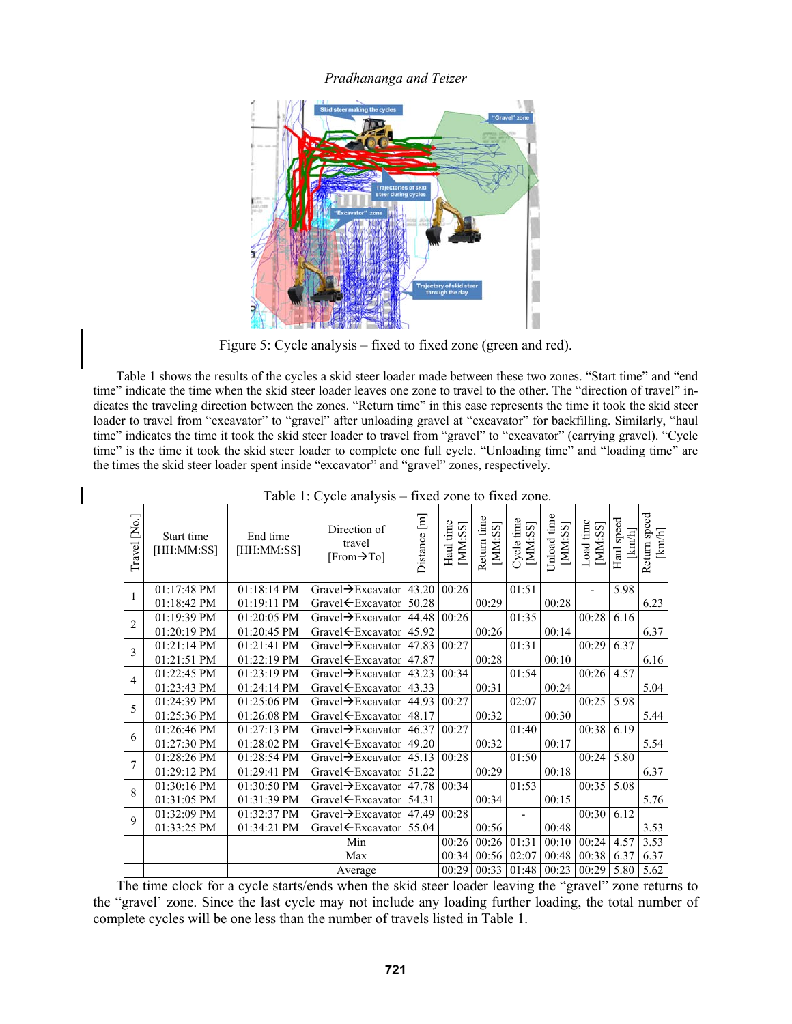

Figure 5: Cycle analysis – fixed to fixed zone (green and red).

Table 1 shows the results of the cycles a skid steer loader made between these two zones. "Start time" and "end time" indicate the time when the skid steer loader leaves one zone to travel to the other. The "direction of travel" indicates the traveling direction between the zones. "Return time" in this case represents the time it took the skid steer loader to travel from "excavator" to "gravel" after unloading gravel at "excavator" for backfilling. Similarly, "haul time" indicates the time it took the skid steer loader to travel from "gravel" to "excavator" (carrying gravel). "Cycle time" is the time it took the skid steer loader to complete one full cycle. "Unloading time" and "loading time" are the times the skid steer loader spent inside "excavator" and "gravel" zones, respectively.

| Travel [No.]   | Start time<br>[HH:MM:SS]         | End time<br>[HH:MM:SS]    | Direction of<br>travel<br>$[From \rightarrow To]$ | Distance [m] | Haul time<br>$[{\rm MM}:\!{\rm SS}]$ | Return time<br>[MM:SS] | Cycle time<br>[MM:SS] | Unload time<br>[MM:SS] | Load time<br>[MM:SS]     | Haul speed<br>[km/h] | Return speed<br>$[km/h]$ |
|----------------|----------------------------------|---------------------------|---------------------------------------------------|--------------|--------------------------------------|------------------------|-----------------------|------------------------|--------------------------|----------------------|--------------------------|
| 1              | 01:17:48 PM                      | 01:18:14 PM               | Gravel $\rightarrow$ Excavator                    | 43.20        | 00:26                                |                        | 01:51                 |                        | $\overline{\phantom{0}}$ | 5.98                 |                          |
|                | $\overline{01:}18:42 \text{ PM}$ | 01:19:11 PM               | Gravel ← Excavator                                | 50.28        |                                      | 00:29                  |                       | 00:28                  |                          |                      | 6.23                     |
| $\overline{c}$ | 01:19:39 PM                      | 01:20:05 PM               | Gravel→Excavator                                  | 44.48        | 00:26                                |                        | 01:35                 |                        | 00:28                    | 6.16                 |                          |
|                | 01:20:19 PM                      | 01:20:45 PM               | Gravel ← Excavator                                | 45.92        |                                      | 00:26                  |                       | 00:14                  |                          |                      | 6.37                     |
| 3              | 01:21:14 PM                      | 01:21:41 PM               | Gravel→Excavator                                  | 47.83        | 00:27                                |                        | 01:31                 |                        | 00:29                    | 6.37                 |                          |
|                | 01:21:51 PM                      | 01:22:19 PM               | Gravel ← Excavator                                | 47.87        |                                      | 00:28                  |                       | 00:10                  |                          |                      | 6.16                     |
| $\overline{4}$ | 01:22:45 PM                      | 01:23:19 PM               | Gravel→Excavator                                  | 43.23        | 00:34                                |                        | 01:54                 |                        | 00:26                    | 4.57                 |                          |
|                | 01:23:43 PM                      | 01:24:14 PM               | Gravel $E$ xcavator                               | 43.33        |                                      | 00:31                  |                       | 00:24                  |                          |                      | 5.04                     |
| 5              | 01:24:39 PM                      | 01:25:06 PM               | Gravel→Excavator                                  | 44.93        | 00:27                                |                        | 02:07                 |                        | 00:25                    | 5.98                 |                          |
|                | 01:25:36 PM                      | 01:26:08 PM               | Gravel ← Excavator                                | 48.17        |                                      | 00:32                  |                       | 00:30                  |                          |                      | 5.44                     |
| 6              | 01:26:46 PM                      | 01:27:13 PM               | Gravel $\rightarrow$ Excavator                    | 46.37        | 00:27                                |                        | 01:40                 |                        | 00:38                    | 6.19                 |                          |
|                | 01:27:30 PM                      | 01:28:02 PM               | Gravel ← Excavator                                | 49.20        |                                      | 00:32                  |                       | 00:17                  |                          |                      | 5.54                     |
| 7              | 01:28:26 PM                      | 01:28:54 PM               | Gravel $\rightarrow$ Excavator                    | 45.13        | 00:28                                |                        | 01:50                 |                        | 00:24                    | 5.80                 |                          |
|                | 01:29:12 PM                      | $\overline{01}$ :29:41 PM | Gravel ← Excavator                                | 51.22        |                                      | 00:29                  |                       | 00:18                  |                          |                      | 6.37                     |
| 8              | 01:30:16 PM                      | $\overline{01:}30:50$ PM  | Gravel→Excavator                                  | 47.78        | 00:34                                |                        | 01:53                 |                        | 00:35                    | 5.08                 |                          |
|                | 01:31:05 PM                      | 01:31:39 PM               | Gravel $E$ xcavator                               | 54.31        |                                      | 00:34                  |                       | 00:15                  |                          |                      | 5.76                     |
| $\mathbf Q$    | 01:32:09 PM                      | 01:32:37 PM               | Gravel→Excavator                                  | 47.49        | 00:28                                |                        |                       |                        | 00:30                    | 6.12                 |                          |
|                | 01:33:25 PM                      | 01:34:21 PM               | Gravel ← Excavator                                | 55.04        |                                      | 00:56                  |                       | 00:48                  |                          |                      | 3.53                     |
|                |                                  |                           | Min                                               |              | 00:26                                | 00:26                  | 01:31                 | 00:10                  | 00:24                    | 4.57                 | 3.53                     |
|                |                                  |                           | Max                                               |              | 00:34                                | 00:56                  | 02:07                 | 00:48                  | 00:38                    | 6.37                 | 6.37                     |
|                |                                  |                           | Average                                           |              | 00:29                                | 00:33                  | 01:48                 | 00:23                  | 00:29                    | 5.80                 | 5.62                     |

Table 1: Cycle analysis – fixed zone to fixed zone.

The time clock for a cycle starts/ends when the skid steer loader leaving the "gravel" zone returns to the "gravel' zone. Since the last cycle may not include any loading further loading, the total number of complete cycles will be one less than the number of travels listed in Table 1.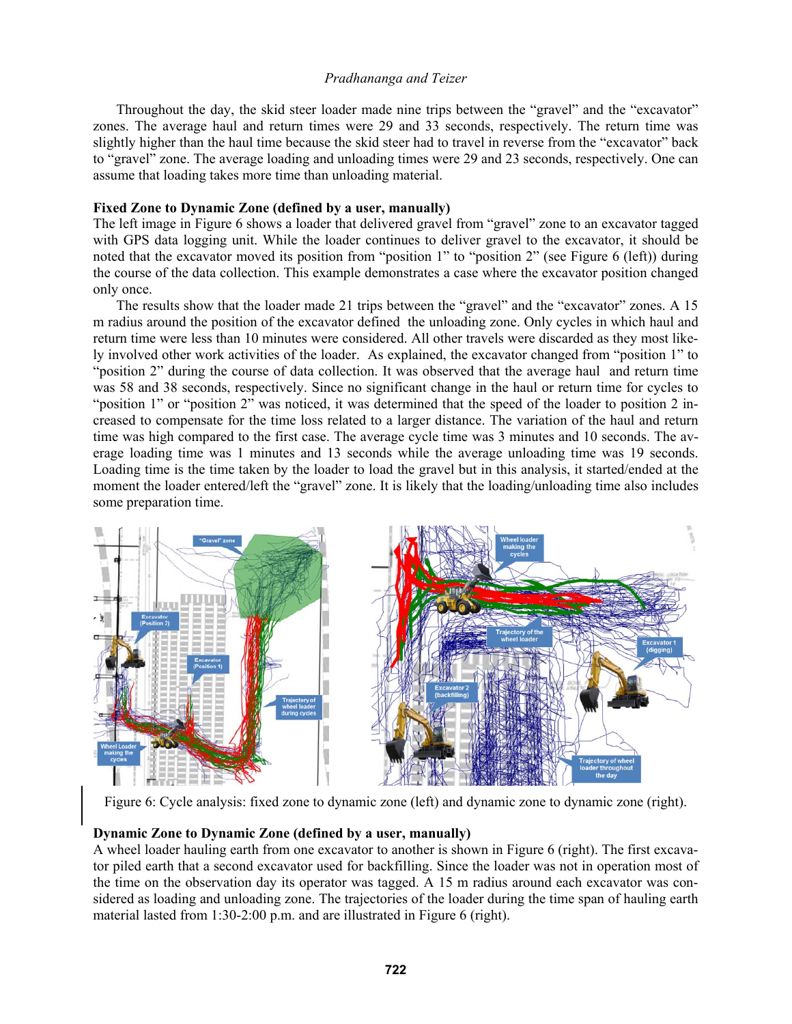Throughout the day, the skid steer loader made nine trips between the "gravel" and the "excavator" zones. The average haul and return times were 29 and 33 seconds, respectively. The return time was slightly higher than the haul time because the skid steer had to travel in reverse from the "excavator" back to "gravel" zone. The average loading and unloading times were 29 and 23 seconds, respectively. One can assume that loading takes more time than unloading material.

### **Fixed Zone to Dynamic Zone (defined by a user, manually)**

The left image in Figure 6 shows a loader that delivered gravel from "gravel" zone to an excavator tagged with GPS data logging unit. While the loader continues to deliver gravel to the excavator, it should be noted that the excavator moved its position from "position 1" to "position 2" (see Figure 6 (left)) during the course of the data collection. This example demonstrates a case where the excavator position changed only once.

The results show that the loader made 21 trips between the "gravel" and the "excavator" zones. A 15 m radius around the position of the excavator defined the unloading zone. Only cycles in which haul and return time were less than 10 minutes were considered. All other travels were discarded as they most likely involved other work activities of the loader. As explained, the excavator changed from "position 1" to "position 2" during the course of data collection. It was observed that the average haul and return time was 58 and 38 seconds, respectively. Since no significant change in the haul or return time for cycles to "position 1" or "position 2" was noticed, it was determined that the speed of the loader to position 2 increased to compensate for the time loss related to a larger distance. The variation of the haul and return time was high compared to the first case. The average cycle time was 3 minutes and 10 seconds. The average loading time was 1 minutes and 13 seconds while the average unloading time was 19 seconds. Loading time is the time taken by the loader to load the gravel but in this analysis, it started/ended at the moment the loader entered/left the "gravel" zone. It is likely that the loading/unloading time also includes some preparation time.



Figure 6: Cycle analysis: fixed zone to dynamic zone (left) and dynamic zone to dynamic zone (right).

## **Dynamic Zone to Dynamic Zone (defined by a user, manually)**

A wheel loader hauling earth from one excavator to another is shown in Figure 6 (right). The first excavator piled earth that a second excavator used for backfilling. Since the loader was not in operation most of the time on the observation day its operator was tagged. A 15 m radius around each excavator was considered as loading and unloading zone. The trajectories of the loader during the time span of hauling earth material lasted from 1:30-2:00 p.m. and are illustrated in Figure 6 (right).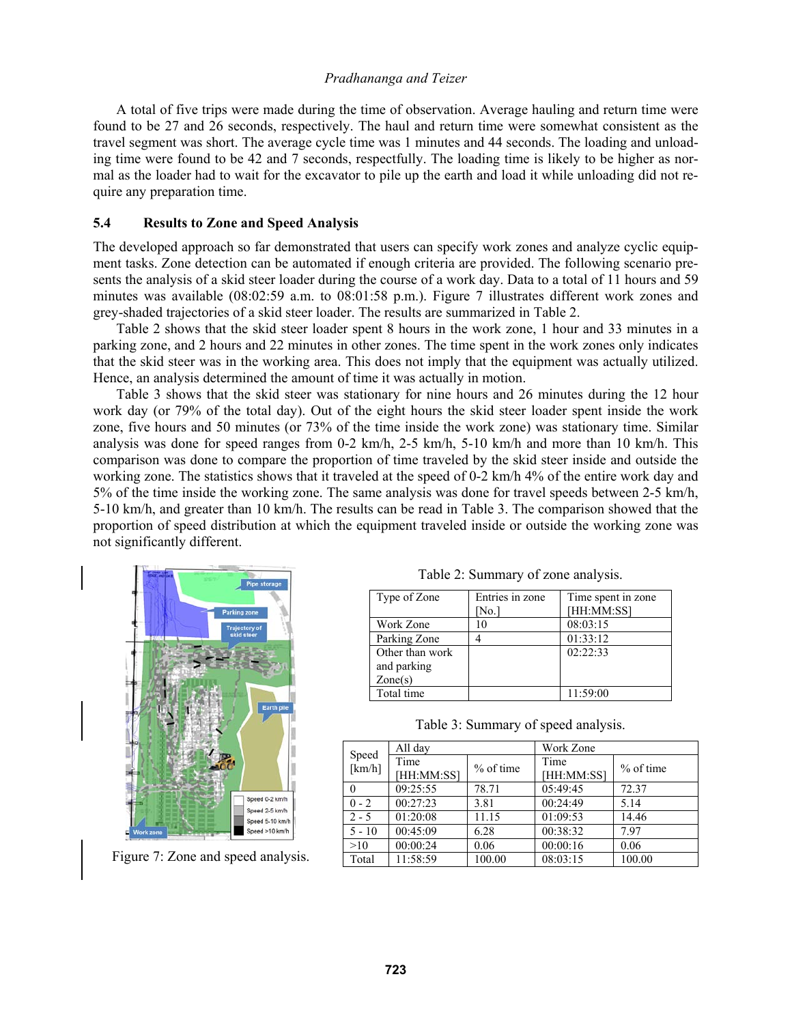A total of five trips were made during the time of observation. Average hauling and return time were found to be 27 and 26 seconds, respectively. The haul and return time were somewhat consistent as the travel segment was short. The average cycle time was 1 minutes and 44 seconds. The loading and unloading time were found to be 42 and 7 seconds, respectfully. The loading time is likely to be higher as normal as the loader had to wait for the excavator to pile up the earth and load it while unloading did not require any preparation time.

#### **5.4 Results to Zone and Speed Analysis**

The developed approach so far demonstrated that users can specify work zones and analyze cyclic equipment tasks. Zone detection can be automated if enough criteria are provided. The following scenario presents the analysis of a skid steer loader during the course of a work day. Data to a total of 11 hours and 59 minutes was available (08:02:59 a.m. to 08:01:58 p.m.). Figure 7 illustrates different work zones and grey-shaded trajectories of a skid steer loader. The results are summarized in Table 2.

Table 2 shows that the skid steer loader spent 8 hours in the work zone, 1 hour and 33 minutes in a parking zone, and 2 hours and 22 minutes in other zones. The time spent in the work zones only indicates that the skid steer was in the working area. This does not imply that the equipment was actually utilized. Hence, an analysis determined the amount of time it was actually in motion.

Table 3 shows that the skid steer was stationary for nine hours and 26 minutes during the 12 hour work day (or 79% of the total day). Out of the eight hours the skid steer loader spent inside the work zone, five hours and 50 minutes (or 73% of the time inside the work zone) was stationary time. Similar analysis was done for speed ranges from 0-2 km/h, 2-5 km/h, 5-10 km/h and more than 10 km/h. This comparison was done to compare the proportion of time traveled by the skid steer inside and outside the working zone. The statistics shows that it traveled at the speed of 0-2 km/h 4% of the entire work day and 5% of the time inside the working zone. The same analysis was done for travel speeds between 2-5 km/h, 5-10 km/h, and greater than 10 km/h. The results can be read in Table 3. The comparison showed that the proportion of speed distribution at which the equipment traveled inside or outside the working zone was not significantly different.



Figure 7: Zone and speed analysis.

Table 2: Summary of zone analysis.

| Type of Zone     | Entries in zone | Time spent in zone |
|------------------|-----------------|--------------------|
|                  | No.             | [HH:MM:SS]         |
| Work Zone        | 10              | 08:03:15           |
| Parking Zone     |                 | 01:33:12           |
| Other than work  |                 | 02:22:33           |
| and parking      |                 |                    |
| $\text{Zone}(s)$ |                 |                    |
| Total time       |                 | 11:59:00           |

Table 3: Summary of speed analysis.

|                 | All day            |             | Work Zone          |             |  |  |
|-----------------|--------------------|-------------|--------------------|-------------|--|--|
| Speed<br>[km/h] | Time<br>[HH:MM:SS] | $%$ of time | Time<br>[HH:MM:SS] | $%$ of time |  |  |
|                 | 09:25:55           | 78.71       | 05:49:45           | 72.37       |  |  |
| $0 - 2$         | 00:27:23           | 3.81        | 00:24:49           | 5.14        |  |  |
| $2 - 5$         | 01:20:08           | 11.15       | 01:09:53           | 14.46       |  |  |
| $5 - 10$        | 00:45:09           | 6.28        | 00:38:32           | 797         |  |  |
| >10             | 00:00:24           | 0.06        | 00:00:16           | 0.06        |  |  |
| Total           | 11:58:59           | 100.00      | 08:03:15           | 100.00      |  |  |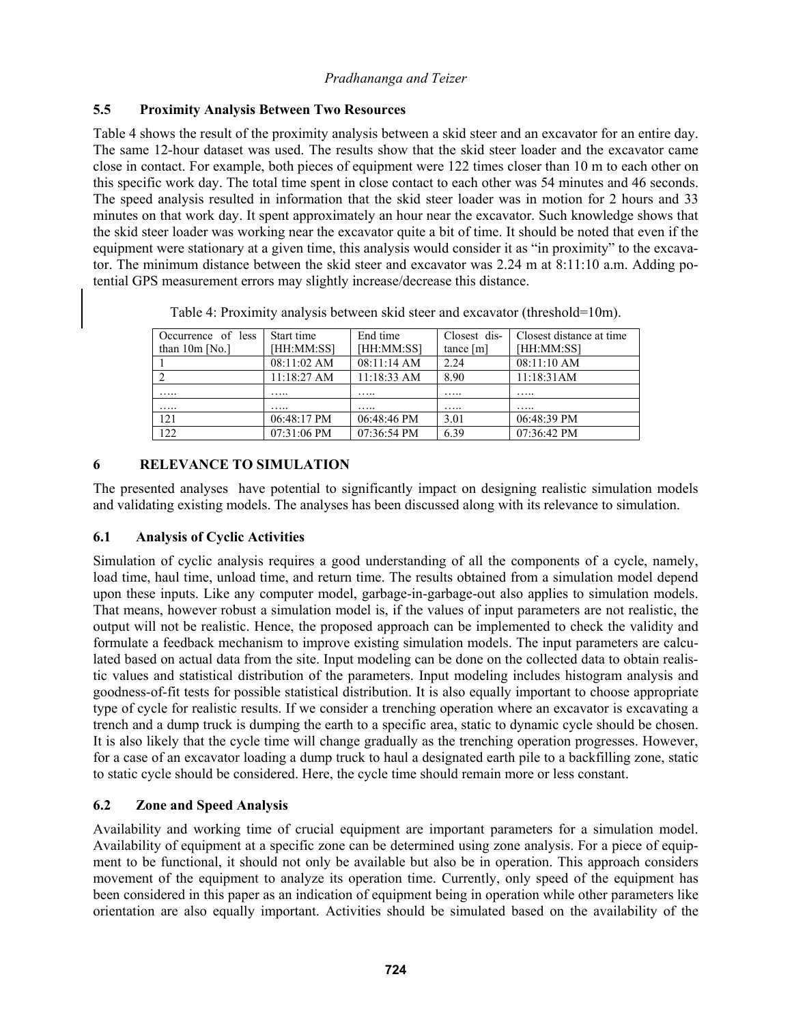## **5.5 Proximity Analysis Between Two Resources**

Table 4 shows the result of the proximity analysis between a skid steer and an excavator for an entire day. The same 12-hour dataset was used. The results show that the skid steer loader and the excavator came close in contact. For example, both pieces of equipment were 122 times closer than 10 m to each other on this specific work day. The total time spent in close contact to each other was 54 minutes and 46 seconds. The speed analysis resulted in information that the skid steer loader was in motion for 2 hours and 33 minutes on that work day. It spent approximately an hour near the excavator. Such knowledge shows that the skid steer loader was working near the excavator quite a bit of time. It should be noted that even if the equipment were stationary at a given time, this analysis would consider it as "in proximity" to the excavator. The minimum distance between the skid steer and excavator was 2.24 m at 8:11:10 a.m. Adding potential GPS measurement errors may slightly increase/decrease this distance.

| Occurrence of less | Start time    | End time      | Closest dis-   | Closest distance at time |  |  |
|--------------------|---------------|---------------|----------------|--------------------------|--|--|
| than $10m$ [No.]   | [HH:MM:SS]    | [HH:MM:SS]    | tance $[m]$    | [HH:MM:SS]               |  |  |
|                    | 08:11:02 AM   | 08:11:14 AM   | 2.24           | 08:11:10 AM              |  |  |
|                    | $11:18:27$ AM | $11:18:33$ AM | 8.90           | 11:18:31AM               |  |  |
| .                  | .             | .             | $\cdots\cdots$ | .                        |  |  |
| .                  | .             | .             | .              |                          |  |  |
| 121                | 06:48:17 PM   | 06:48:46 PM   | 3.01           | $06:48:39 \text{ PM}$    |  |  |
| 122                | 07:31:06 PM   | 07:36:54 PM   | 6.39           | $07:36:42 \text{ PM}$    |  |  |

Table 4: Proximity analysis between skid steer and excavator (threshold=10m).

# **6 RELEVANCE TO SIMULATION**

The presented analyses have potential to significantly impact on designing realistic simulation models and validating existing models. The analyses has been discussed along with its relevance to simulation.

# **6.1 Analysis of Cyclic Activities**

Simulation of cyclic analysis requires a good understanding of all the components of a cycle, namely, load time, haul time, unload time, and return time. The results obtained from a simulation model depend upon these inputs. Like any computer model, garbage-in-garbage-out also applies to simulation models. That means, however robust a simulation model is, if the values of input parameters are not realistic, the output will not be realistic. Hence, the proposed approach can be implemented to check the validity and formulate a feedback mechanism to improve existing simulation models. The input parameters are calculated based on actual data from the site. Input modeling can be done on the collected data to obtain realistic values and statistical distribution of the parameters. Input modeling includes histogram analysis and goodness-of-fit tests for possible statistical distribution. It is also equally important to choose appropriate type of cycle for realistic results. If we consider a trenching operation where an excavator is excavating a trench and a dump truck is dumping the earth to a specific area, static to dynamic cycle should be chosen. It is also likely that the cycle time will change gradually as the trenching operation progresses. However, for a case of an excavator loading a dump truck to haul a designated earth pile to a backfilling zone, static to static cycle should be considered. Here, the cycle time should remain more or less constant.

# **6.2 Zone and Speed Analysis**

Availability and working time of crucial equipment are important parameters for a simulation model. Availability of equipment at a specific zone can be determined using zone analysis. For a piece of equipment to be functional, it should not only be available but also be in operation. This approach considers movement of the equipment to analyze its operation time. Currently, only speed of the equipment has been considered in this paper as an indication of equipment being in operation while other parameters like orientation are also equally important. Activities should be simulated based on the availability of the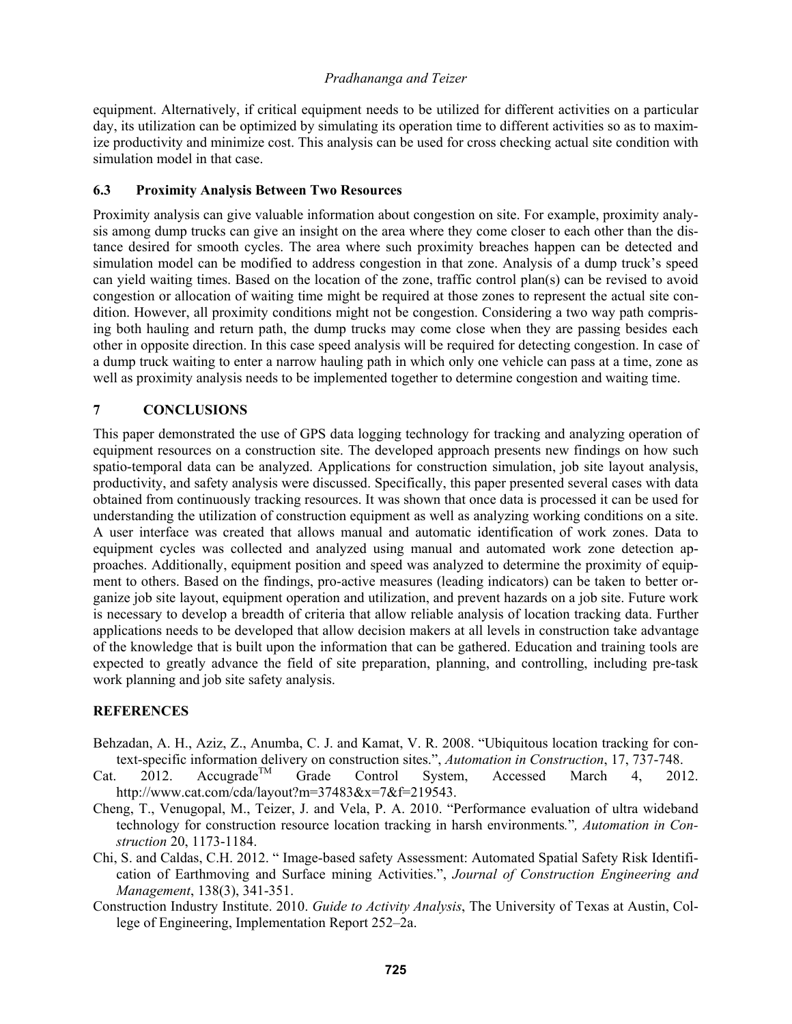equipment. Alternatively, if critical equipment needs to be utilized for different activities on a particular day, its utilization can be optimized by simulating its operation time to different activities so as to maximize productivity and minimize cost. This analysis can be used for cross checking actual site condition with simulation model in that case.

### **6.3 Proximity Analysis Between Two Resources**

Proximity analysis can give valuable information about congestion on site. For example, proximity analysis among dump trucks can give an insight on the area where they come closer to each other than the distance desired for smooth cycles. The area where such proximity breaches happen can be detected and simulation model can be modified to address congestion in that zone. Analysis of a dump truck's speed can yield waiting times. Based on the location of the zone, traffic control plan(s) can be revised to avoid congestion or allocation of waiting time might be required at those zones to represent the actual site condition. However, all proximity conditions might not be congestion. Considering a two way path comprising both hauling and return path, the dump trucks may come close when they are passing besides each other in opposite direction. In this case speed analysis will be required for detecting congestion. In case of a dump truck waiting to enter a narrow hauling path in which only one vehicle can pass at a time, zone as well as proximity analysis needs to be implemented together to determine congestion and waiting time.

## **7 CONCLUSIONS**

This paper demonstrated the use of GPS data logging technology for tracking and analyzing operation of equipment resources on a construction site. The developed approach presents new findings on how such spatio-temporal data can be analyzed. Applications for construction simulation, job site layout analysis, productivity, and safety analysis were discussed. Specifically, this paper presented several cases with data obtained from continuously tracking resources. It was shown that once data is processed it can be used for understanding the utilization of construction equipment as well as analyzing working conditions on a site. A user interface was created that allows manual and automatic identification of work zones. Data to equipment cycles was collected and analyzed using manual and automated work zone detection approaches. Additionally, equipment position and speed was analyzed to determine the proximity of equipment to others. Based on the findings, pro-active measures (leading indicators) can be taken to better organize job site layout, equipment operation and utilization, and prevent hazards on a job site. Future work is necessary to develop a breadth of criteria that allow reliable analysis of location tracking data. Further applications needs to be developed that allow decision makers at all levels in construction take advantage of the knowledge that is built upon the information that can be gathered. Education and training tools are expected to greatly advance the field of site preparation, planning, and controlling, including pre-task work planning and job site safety analysis.

## **REFERENCES**

- Behzadan, A. H., Aziz, Z., Anumba, C. J. and Kamat, V. R. 2008. "Ubiquitous location tracking for context-specific information delivery on construction sites.", *Automation in Construction*, 17, 737-748.
- Cat. 2012. Accugrade<sup>TM</sup> Grade Control System, Accessed March 4, 2012. http://www.cat.com/cda/layout?m=37483&x=7&f=219543.
- Cheng, T., Venugopal, M., Teizer, J. and Vela, P. A. 2010. "Performance evaluation of ultra wideband technology for construction resource location tracking in harsh environments*.*"*, Automation in Construction* 20, 1173-1184.
- Chi, S. and Caldas, C.H. 2012. " Image-based safety Assessment: Automated Spatial Safety Risk Identification of Earthmoving and Surface mining Activities.", *Journal of Construction Engineering and Management*, 138(3), 341-351.
- Construction Industry Institute. 2010. *Guide to Activity Analysis*, The University of Texas at Austin, College of Engineering, Implementation Report 252–2a.